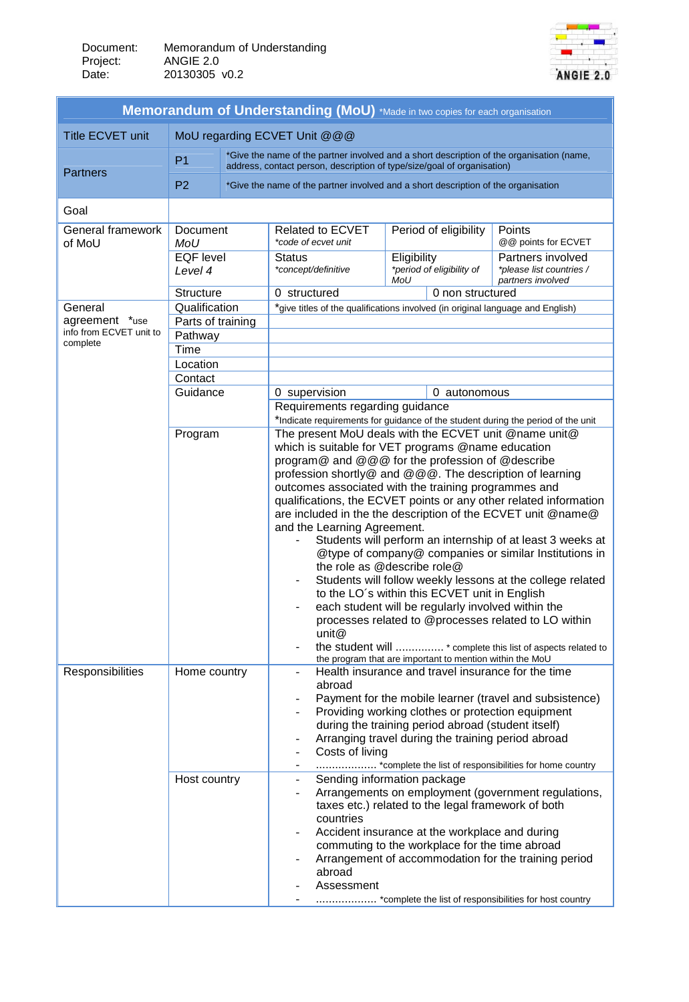

| Memorandum of Understanding (MoU) *Made in two copies for each organisation |                                                                                                                                                                                        |                                                                                    |                                                                                                                                                                                                                                                                                                                                                                                                                                                                                                                                                                                                                                                                                                                                                                                                                                                                                                                         |                       |                                                                                                                |                              |  |
|-----------------------------------------------------------------------------|----------------------------------------------------------------------------------------------------------------------------------------------------------------------------------------|------------------------------------------------------------------------------------|-------------------------------------------------------------------------------------------------------------------------------------------------------------------------------------------------------------------------------------------------------------------------------------------------------------------------------------------------------------------------------------------------------------------------------------------------------------------------------------------------------------------------------------------------------------------------------------------------------------------------------------------------------------------------------------------------------------------------------------------------------------------------------------------------------------------------------------------------------------------------------------------------------------------------|-----------------------|----------------------------------------------------------------------------------------------------------------|------------------------------|--|
| Title ECVET unit                                                            | MoU regarding ECVET Unit @@@                                                                                                                                                           |                                                                                    |                                                                                                                                                                                                                                                                                                                                                                                                                                                                                                                                                                                                                                                                                                                                                                                                                                                                                                                         |                       |                                                                                                                |                              |  |
| <b>Partners</b>                                                             | *Give the name of the partner involved and a short description of the organisation (name,<br>P <sub>1</sub><br>address, contact person, description of type/size/goal of organisation) |                                                                                    |                                                                                                                                                                                                                                                                                                                                                                                                                                                                                                                                                                                                                                                                                                                                                                                                                                                                                                                         |                       |                                                                                                                |                              |  |
|                                                                             | P <sub>2</sub>                                                                                                                                                                         | *Give the name of the partner involved and a short description of the organisation |                                                                                                                                                                                                                                                                                                                                                                                                                                                                                                                                                                                                                                                                                                                                                                                                                                                                                                                         |                       |                                                                                                                |                              |  |
| Goal                                                                        |                                                                                                                                                                                        |                                                                                    |                                                                                                                                                                                                                                                                                                                                                                                                                                                                                                                                                                                                                                                                                                                                                                                                                                                                                                                         |                       |                                                                                                                |                              |  |
| General framework<br>Document<br>MoU<br>of MoU                              |                                                                                                                                                                                        |                                                                                    | Related to ECVET<br>*code of ecvet unit                                                                                                                                                                                                                                                                                                                                                                                                                                                                                                                                                                                                                                                                                                                                                                                                                                                                                 | Period of eligibility |                                                                                                                | Points<br>@@points for ECVET |  |
|                                                                             | <b>EQF</b> level<br>Level 4                                                                                                                                                            |                                                                                    | <b>Status</b><br>*concept/definitive                                                                                                                                                                                                                                                                                                                                                                                                                                                                                                                                                                                                                                                                                                                                                                                                                                                                                    | MoU                   | Eligibility<br>Partners involved<br>*period of eligibility of<br>*please list countries /<br>partners involved |                              |  |
|                                                                             | <b>Structure</b>                                                                                                                                                                       |                                                                                    | 0 structured                                                                                                                                                                                                                                                                                                                                                                                                                                                                                                                                                                                                                                                                                                                                                                                                                                                                                                            | 0 non structured      |                                                                                                                |                              |  |
| General                                                                     | Qualification                                                                                                                                                                          |                                                                                    | *give titles of the qualifications involved (in original language and English)                                                                                                                                                                                                                                                                                                                                                                                                                                                                                                                                                                                                                                                                                                                                                                                                                                          |                       |                                                                                                                |                              |  |
| agreement *use                                                              | Parts of training                                                                                                                                                                      |                                                                                    |                                                                                                                                                                                                                                                                                                                                                                                                                                                                                                                                                                                                                                                                                                                                                                                                                                                                                                                         |                       |                                                                                                                |                              |  |
| info from ECVET unit to<br>complete                                         | Pathway                                                                                                                                                                                |                                                                                    |                                                                                                                                                                                                                                                                                                                                                                                                                                                                                                                                                                                                                                                                                                                                                                                                                                                                                                                         |                       |                                                                                                                |                              |  |
|                                                                             | Time                                                                                                                                                                                   |                                                                                    |                                                                                                                                                                                                                                                                                                                                                                                                                                                                                                                                                                                                                                                                                                                                                                                                                                                                                                                         |                       |                                                                                                                |                              |  |
|                                                                             | Location                                                                                                                                                                               |                                                                                    |                                                                                                                                                                                                                                                                                                                                                                                                                                                                                                                                                                                                                                                                                                                                                                                                                                                                                                                         |                       |                                                                                                                |                              |  |
|                                                                             | Contact<br>Guidance                                                                                                                                                                    |                                                                                    |                                                                                                                                                                                                                                                                                                                                                                                                                                                                                                                                                                                                                                                                                                                                                                                                                                                                                                                         |                       |                                                                                                                |                              |  |
|                                                                             |                                                                                                                                                                                        |                                                                                    | 0 supervision<br>Requirements regarding guidance                                                                                                                                                                                                                                                                                                                                                                                                                                                                                                                                                                                                                                                                                                                                                                                                                                                                        |                       | 0 autonomous                                                                                                   |                              |  |
|                                                                             |                                                                                                                                                                                        |                                                                                    |                                                                                                                                                                                                                                                                                                                                                                                                                                                                                                                                                                                                                                                                                                                                                                                                                                                                                                                         |                       |                                                                                                                |                              |  |
|                                                                             | Program                                                                                                                                                                                |                                                                                    | *Indicate requirements for guidance of the student during the period of the unit<br>The present MoU deals with the ECVET unit @name unit@                                                                                                                                                                                                                                                                                                                                                                                                                                                                                                                                                                                                                                                                                                                                                                               |                       |                                                                                                                |                              |  |
| Responsibilities                                                            |                                                                                                                                                                                        |                                                                                    | which is suitable for VET programs @name education<br>program@ and @@@ for the profession of @describe<br>profession shortly@ and @@@. The description of learning<br>outcomes associated with the training programmes and<br>qualifications, the ECVET points or any other related information<br>are included in the the description of the ECVET unit @name@<br>and the Learning Agreement.<br>Students will perform an internship of at least 3 weeks at<br>@type of company@ companies or similar Institutions in<br>the role as @describe role@<br>Students will follow weekly lessons at the college related<br>to the LO's within this ECVET unit in English<br>each student will be regularly involved within the<br>processes related to @processes related to LO within<br>unit@<br>the student will  * complete this list of aspects related to<br>the program that are important to mention within the MoU |                       |                                                                                                                |                              |  |
|                                                                             | Home country                                                                                                                                                                           |                                                                                    | Health insurance and travel insurance for the time<br>abroad<br>Payment for the mobile learner (travel and subsistence)<br>Providing working clothes or protection equipment<br>during the training period abroad (student itself)<br>Arranging travel during the training period abroad<br>Costs of living<br>*complete the list of responsibilities for home country                                                                                                                                                                                                                                                                                                                                                                                                                                                                                                                                                  |                       |                                                                                                                |                              |  |
|                                                                             | Host country                                                                                                                                                                           |                                                                                    | Sending information package<br>$\blacksquare$<br>Arrangements on employment (government regulations,<br>$\overline{\phantom{a}}$<br>taxes etc.) related to the legal framework of both<br>countries<br>Accident insurance at the workplace and during<br>$\overline{\phantom{a}}$<br>commuting to the workplace for the time abroad<br>Arrangement of accommodation for the training period<br>abroad<br>Assessment<br>*complete the list of responsibilities for host country                                                                                                                                                                                                                                                                                                                                                                                                                                          |                       |                                                                                                                |                              |  |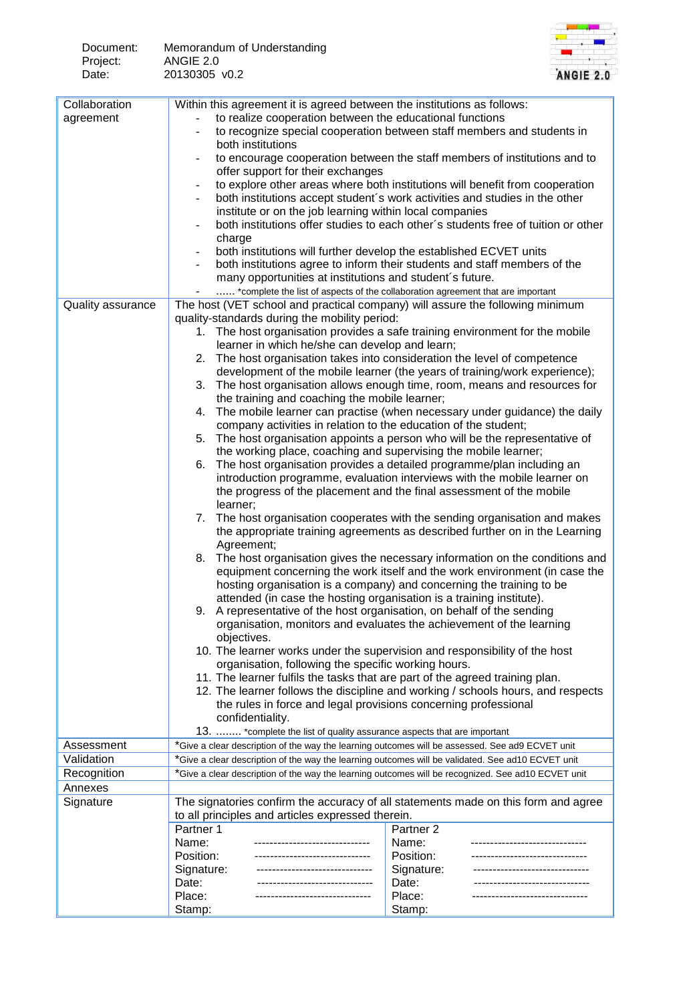| Document: | Memorandum of Understanding |
|-----------|-----------------------------|
| Project:  | ANGIE 2.0                   |
| Date:     | 20130305 v0.2               |



| Collaboration     | Within this agreement it is agreed between the institutions as follows:                                                                                                                                 |                                                                                                                                                  |  |  |  |  |  |
|-------------------|---------------------------------------------------------------------------------------------------------------------------------------------------------------------------------------------------------|--------------------------------------------------------------------------------------------------------------------------------------------------|--|--|--|--|--|
| agreement         | to realize cooperation between the educational functions                                                                                                                                                |                                                                                                                                                  |  |  |  |  |  |
|                   | to recognize special cooperation between staff members and students in                                                                                                                                  |                                                                                                                                                  |  |  |  |  |  |
|                   | both institutions                                                                                                                                                                                       |                                                                                                                                                  |  |  |  |  |  |
|                   | to encourage cooperation between the staff members of institutions and to                                                                                                                               |                                                                                                                                                  |  |  |  |  |  |
|                   | offer support for their exchanges                                                                                                                                                                       |                                                                                                                                                  |  |  |  |  |  |
|                   |                                                                                                                                                                                                         | to explore other areas where both institutions will benefit from cooperation                                                                     |  |  |  |  |  |
|                   |                                                                                                                                                                                                         | both institutions accept student's work activities and studies in the other                                                                      |  |  |  |  |  |
|                   | institute or on the job learning within local companies                                                                                                                                                 |                                                                                                                                                  |  |  |  |  |  |
|                   | charge                                                                                                                                                                                                  | both institutions offer studies to each other's students free of tuition or other                                                                |  |  |  |  |  |
|                   | both institutions will further develop the established ECVET units                                                                                                                                      |                                                                                                                                                  |  |  |  |  |  |
|                   |                                                                                                                                                                                                         | both institutions agree to inform their students and staff members of the                                                                        |  |  |  |  |  |
|                   | many opportunities at institutions and student's future.                                                                                                                                                |                                                                                                                                                  |  |  |  |  |  |
|                   |                                                                                                                                                                                                         | *complete the list of aspects of the collaboration agreement that are important                                                                  |  |  |  |  |  |
| Quality assurance | The host (VET school and practical company) will assure the following minimum                                                                                                                           |                                                                                                                                                  |  |  |  |  |  |
|                   | quality-standards during the mobility period:                                                                                                                                                           |                                                                                                                                                  |  |  |  |  |  |
|                   |                                                                                                                                                                                                         | 1. The host organisation provides a safe training environment for the mobile                                                                     |  |  |  |  |  |
|                   | learner in which he/she can develop and learn;                                                                                                                                                          |                                                                                                                                                  |  |  |  |  |  |
|                   | 2.                                                                                                                                                                                                      | The host organisation takes into consideration the level of competence                                                                           |  |  |  |  |  |
|                   |                                                                                                                                                                                                         | development of the mobile learner (the years of training/work experience);                                                                       |  |  |  |  |  |
|                   | 3.                                                                                                                                                                                                      | The host organisation allows enough time, room, means and resources for                                                                          |  |  |  |  |  |
|                   | the training and coaching the mobile learner;                                                                                                                                                           |                                                                                                                                                  |  |  |  |  |  |
|                   | 4.                                                                                                                                                                                                      | The mobile learner can practise (when necessary under guidance) the daily                                                                        |  |  |  |  |  |
|                   | company activities in relation to the education of the student;                                                                                                                                         |                                                                                                                                                  |  |  |  |  |  |
|                   | 5.                                                                                                                                                                                                      | The host organisation appoints a person who will be the representative of                                                                        |  |  |  |  |  |
|                   | the working place, coaching and supervising the mobile learner;                                                                                                                                         |                                                                                                                                                  |  |  |  |  |  |
|                   | 6.                                                                                                                                                                                                      | The host organisation provides a detailed programme/plan including an                                                                            |  |  |  |  |  |
|                   |                                                                                                                                                                                                         | introduction programme, evaluation interviews with the mobile learner on<br>the progress of the placement and the final assessment of the mobile |  |  |  |  |  |
|                   | learner;                                                                                                                                                                                                |                                                                                                                                                  |  |  |  |  |  |
|                   | 7.                                                                                                                                                                                                      | The host organisation cooperates with the sending organisation and makes                                                                         |  |  |  |  |  |
|                   |                                                                                                                                                                                                         |                                                                                                                                                  |  |  |  |  |  |
|                   | the appropriate training agreements as described further on in the Learning<br>Agreement;                                                                                                               |                                                                                                                                                  |  |  |  |  |  |
|                   |                                                                                                                                                                                                         | 8. The host organisation gives the necessary information on the conditions and                                                                   |  |  |  |  |  |
|                   |                                                                                                                                                                                                         | equipment concerning the work itself and the work environment (in case the                                                                       |  |  |  |  |  |
|                   |                                                                                                                                                                                                         | hosting organisation is a company) and concerning the training to be                                                                             |  |  |  |  |  |
|                   | attended (in case the hosting organisation is a training institute).                                                                                                                                    |                                                                                                                                                  |  |  |  |  |  |
|                   | 9. A representative of the host organisation, on behalf of the sending                                                                                                                                  |                                                                                                                                                  |  |  |  |  |  |
|                   |                                                                                                                                                                                                         | organisation, monitors and evaluates the achievement of the learning                                                                             |  |  |  |  |  |
|                   | objectives.                                                                                                                                                                                             |                                                                                                                                                  |  |  |  |  |  |
|                   | 10. The learner works under the supervision and responsibility of the host                                                                                                                              |                                                                                                                                                  |  |  |  |  |  |
|                   | organisation, following the specific working hours.                                                                                                                                                     |                                                                                                                                                  |  |  |  |  |  |
|                   | 11. The learner fulfils the tasks that are part of the agreed training plan.<br>12. The learner follows the discipline and working / schools hours, and respects                                        |                                                                                                                                                  |  |  |  |  |  |
|                   |                                                                                                                                                                                                         |                                                                                                                                                  |  |  |  |  |  |
|                   | the rules in force and legal provisions concerning professional<br>confidentiality.                                                                                                                     |                                                                                                                                                  |  |  |  |  |  |
|                   | 13.  *complete the list of quality assurance aspects that are important                                                                                                                                 |                                                                                                                                                  |  |  |  |  |  |
| Assessment        | *Give a clear description of the way the learning outcomes will be assessed. See ad9 ECVET unit                                                                                                         |                                                                                                                                                  |  |  |  |  |  |
| Validation        |                                                                                                                                                                                                         |                                                                                                                                                  |  |  |  |  |  |
| Recognition       | *Give a clear description of the way the learning outcomes will be validated. See ad10 ECVET unit<br>*Give a clear description of the way the learning outcomes will be recognized. See ad10 ECVET unit |                                                                                                                                                  |  |  |  |  |  |
| Annexes           |                                                                                                                                                                                                         |                                                                                                                                                  |  |  |  |  |  |
| Signature         |                                                                                                                                                                                                         | The signatories confirm the accuracy of all statements made on this form and agree                                                               |  |  |  |  |  |
|                   | to all principles and articles expressed therein.                                                                                                                                                       |                                                                                                                                                  |  |  |  |  |  |
|                   | Partner 1                                                                                                                                                                                               | Partner <sub>2</sub>                                                                                                                             |  |  |  |  |  |
|                   | Name:<br>----------------------------                                                                                                                                                                   | Name:<br>-----------------------                                                                                                                 |  |  |  |  |  |
|                   | Position:<br>------------------------------                                                                                                                                                             | Position:                                                                                                                                        |  |  |  |  |  |
|                   | Signature:<br>                                                                                                                                                                                          | Signature:<br>---------------------                                                                                                              |  |  |  |  |  |
|                   | Date:<br>--------------------------                                                                                                                                                                     | Date:                                                                                                                                            |  |  |  |  |  |
|                   | Place:                                                                                                                                                                                                  | Place:                                                                                                                                           |  |  |  |  |  |
|                   | Stamp:                                                                                                                                                                                                  | Stamp:                                                                                                                                           |  |  |  |  |  |